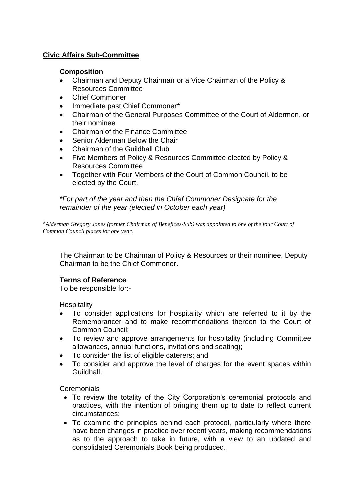# **Civic Affairs Sub-Committee**

### **Composition**

- Chairman and Deputy Chairman or a Vice Chairman of the Policy & Resources Committee
- Chief Commoner
- Immediate past Chief Commoner\*
- Chairman of the General Purposes Committee of the Court of Aldermen, or their nominee
- Chairman of the Finance Committee
- Senior Alderman Below the Chair
- Chairman of the Guildhall Club
- Five Members of Policy & Resources Committee elected by Policy & Resources Committee
- Together with Four Members of the Court of Common Council, to be elected by the Court.

*\*For part of the year and then the Chief Commoner Designate for the remainder of the year (elected in October each year)*

\**Alderman Gregory Jones (former Chairman of Benefices-Sub) was appointed to one of the four Court of Common Council places for one year.*

The Chairman to be Chairman of Policy & Resources or their nominee, Deputy Chairman to be the Chief Commoner.

### **Terms of Reference**

To be responsible for:-

**Hospitality** 

- To consider applications for hospitality which are referred to it by the Remembrancer and to make recommendations thereon to the Court of Common Council;
- To review and approve arrangements for hospitality (including Committee allowances, annual functions, invitations and seating);
- To consider the list of eligible caterers; and
- To consider and approve the level of charges for the event spaces within Guildhall.

### **Ceremonials**

- To review the totality of the City Corporation's ceremonial protocols and practices, with the intention of bringing them up to date to reflect current circumstances;
- To examine the principles behind each protocol, particularly where there have been changes in practice over recent years, making recommendations as to the approach to take in future, with a view to an updated and consolidated Ceremonials Book being produced.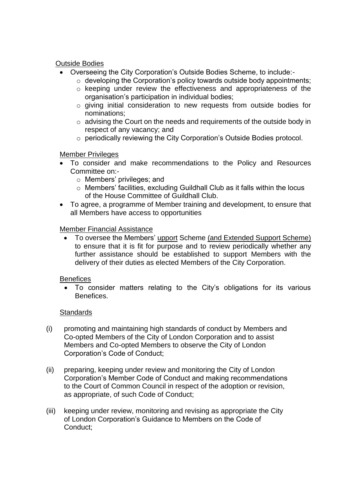## Outside Bodies

- Overseeing the City Corporation's Outside Bodies Scheme, to include:-
	- $\circ$  developing the Corporation's policy towards outside body appointments;
	- o keeping under review the effectiveness and appropriateness of the organisation's participation in individual bodies;
	- o giving initial consideration to new requests from outside bodies for nominations;
	- $\circ$  advising the Court on the needs and requirements of the outside body in respect of any vacancy; and
	- o periodically reviewing the City Corporation's Outside Bodies protocol.

## Member Privileges

- To consider and make recommendations to the Policy and Resources Committee on:
	- o Members' privileges; and
	- o Members' facilities, excluding Guildhall Club as it falls within the locus of the House Committee of Guildhall Club.
- To agree, a programme of Member training and development, to ensure that all Members have access to opportunities

## Member Financial Assistance

• To oversee the Members' upport Scheme (and Extended Support Scheme) to ensure that it is fit for purpose and to review periodically whether any further assistance should be established to support Members with the delivery of their duties as elected Members of the City Corporation.

### **Benefices**

• To consider matters relating to the City's obligations for its various Benefices.

### **Standards**

- (i) promoting and maintaining high standards of conduct by Members and Co-opted Members of the City of London Corporation and to assist Members and Co-opted Members to observe the City of London Corporation's Code of Conduct;
- (ii) preparing, keeping under review and monitoring the City of London Corporation's Member Code of Conduct and making recommendations to the Court of Common Council in respect of the adoption or revision, as appropriate, of such Code of Conduct;
- (iii) keeping under review, monitoring and revising as appropriate the City of London Corporation's Guidance to Members on the Code of Conduct;